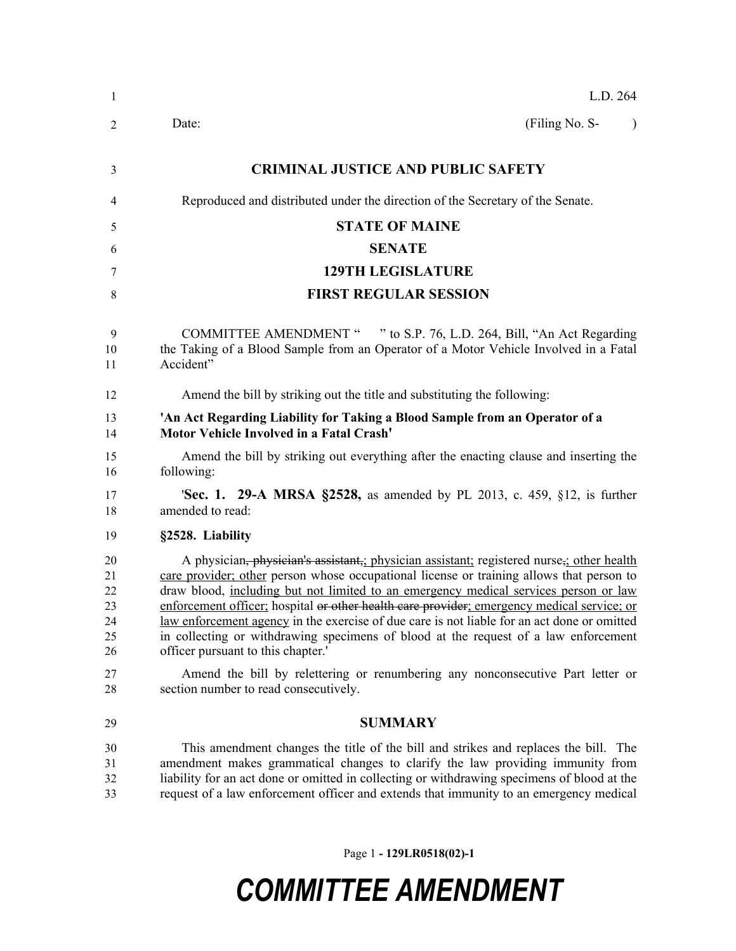| $\mathbf{1}$                           | L.D. 264                                                                                                                                                                                                                                                                                                                                                                                                                                                                                                                                                                                              |
|----------------------------------------|-------------------------------------------------------------------------------------------------------------------------------------------------------------------------------------------------------------------------------------------------------------------------------------------------------------------------------------------------------------------------------------------------------------------------------------------------------------------------------------------------------------------------------------------------------------------------------------------------------|
| 2                                      | (Filing No. S-<br>Date:<br>$\lambda$                                                                                                                                                                                                                                                                                                                                                                                                                                                                                                                                                                  |
| 3                                      | <b>CRIMINAL JUSTICE AND PUBLIC SAFETY</b>                                                                                                                                                                                                                                                                                                                                                                                                                                                                                                                                                             |
| 4                                      | Reproduced and distributed under the direction of the Secretary of the Senate.                                                                                                                                                                                                                                                                                                                                                                                                                                                                                                                        |
| 5                                      | <b>STATE OF MAINE</b>                                                                                                                                                                                                                                                                                                                                                                                                                                                                                                                                                                                 |
| 6                                      | <b>SENATE</b>                                                                                                                                                                                                                                                                                                                                                                                                                                                                                                                                                                                         |
| 7                                      | <b>129TH LEGISLATURE</b>                                                                                                                                                                                                                                                                                                                                                                                                                                                                                                                                                                              |
| 8                                      | <b>FIRST REGULAR SESSION</b>                                                                                                                                                                                                                                                                                                                                                                                                                                                                                                                                                                          |
| 9<br>10<br>11                          | <b>COMMITTEE AMENDMENT "</b><br>" to S.P. 76, L.D. 264, Bill, "An Act Regarding<br>the Taking of a Blood Sample from an Operator of a Motor Vehicle Involved in a Fatal<br>Accident"                                                                                                                                                                                                                                                                                                                                                                                                                  |
| 12                                     | Amend the bill by striking out the title and substituting the following:                                                                                                                                                                                                                                                                                                                                                                                                                                                                                                                              |
| 13<br>14                               | 'An Act Regarding Liability for Taking a Blood Sample from an Operator of a<br>Motor Vehicle Involved in a Fatal Crash'                                                                                                                                                                                                                                                                                                                                                                                                                                                                               |
| 15<br>16                               | Amend the bill by striking out everything after the enacting clause and inserting the<br>following:                                                                                                                                                                                                                                                                                                                                                                                                                                                                                                   |
| 17<br>18                               | <b>Sec. 1. 29-A MRSA §2528,</b> as amended by PL 2013, c. 459, §12, is further<br>amended to read:                                                                                                                                                                                                                                                                                                                                                                                                                                                                                                    |
| 19                                     | §2528. Liability                                                                                                                                                                                                                                                                                                                                                                                                                                                                                                                                                                                      |
| 20<br>21<br>22<br>23<br>24<br>25<br>26 | A physician, physician's assistant, physician assistant; registered nurse, other health<br>care provider; other person whose occupational license or training allows that person to<br>draw blood, including but not limited to an emergency medical services person or law<br>enforcement officer; hospital or other health care provider; emergency medical service; or<br>law enforcement agency in the exercise of due care is not liable for an act done or omitted<br>in collecting or withdrawing specimens of blood at the request of a law enforcement<br>officer pursuant to this chapter.' |
| 27<br>28                               | Amend the bill by relettering or renumbering any nonconsecutive Part letter or<br>section number to read consecutively.                                                                                                                                                                                                                                                                                                                                                                                                                                                                               |
| 29                                     | <b>SUMMARY</b>                                                                                                                                                                                                                                                                                                                                                                                                                                                                                                                                                                                        |
| 30<br>31<br>32                         | This amendment changes the title of the bill and strikes and replaces the bill. The<br>amendment makes grammatical changes to clarify the law providing immunity from<br>liability for an act done or omitted in collecting or withdrawing specimens of blood at the                                                                                                                                                                                                                                                                                                                                  |

request of a law enforcement officer and extends that immunity to an emergency medical

## *COMMITTEE AMENDMENT*

Page 1 **- 129LR0518(02)-1**